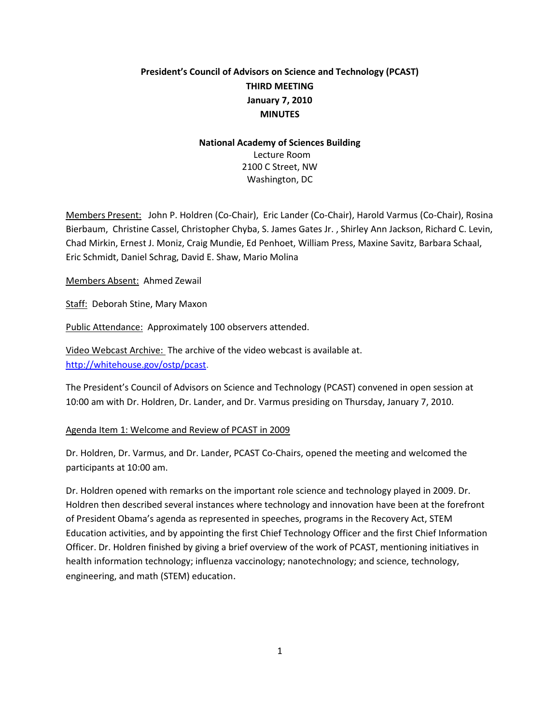# **President's Council of Advisors on Science and Technology (PCAST) THIRD MEETING January 7, 2010 MINUTES**

# **National Academy of Sciences Building** Lecture Room 2100 C Street, NW Washington, DC

Members Present:John P. Holdren (Co-Chair), Eric Lander (Co-Chair), Harold Varmus (Co-Chair), Rosina Bierbaum, Christine Cassel, Christopher Chyba, S. James Gates Jr. , Shirley Ann Jackson, Richard C. Levin, Chad Mirkin, Ernest J. Moniz, Craig Mundie, Ed Penhoet, William Press, Maxine Savitz, Barbara Schaal, Eric Schmidt, Daniel Schrag, David E. Shaw, Mario Molina

Members Absent: Ahmed Zewail

Staff: Deborah Stine, Mary Maxon

Public Attendance: Approximately 100 observers attended.

Video Webcast Archive: The archive of the video webcast is available at. [http://whitehouse.gov/ostp/pcast.](http://whitehouse.gov/ostp/pcast)

The President's Council of Advisors on Science and Technology (PCAST) convened in open session at 10:00 am with Dr. Holdren, Dr. Lander, and Dr. Varmus presiding on Thursday, January 7, 2010.

#### Agenda Item 1: Welcome and Review of PCAST in 2009

Dr. Holdren, Dr. Varmus, and Dr. Lander, PCAST Co-Chairs, opened the meeting and welcomed the participants at 10:00 am.

Dr. Holdren opened with remarks on the important role science and technology played in 2009. Dr. Holdren then described several instances where technology and innovation have been at the forefront of President Obama's agenda as represented in speeches, programs in the Recovery Act, STEM Education activities, and by appointing the first Chief Technology Officer and the first Chief Information Officer. Dr. Holdren finished by giving a brief overview of the work of PCAST, mentioning initiatives in health information technology; influenza vaccinology; nanotechnology; and science, technology, engineering, and math (STEM) education.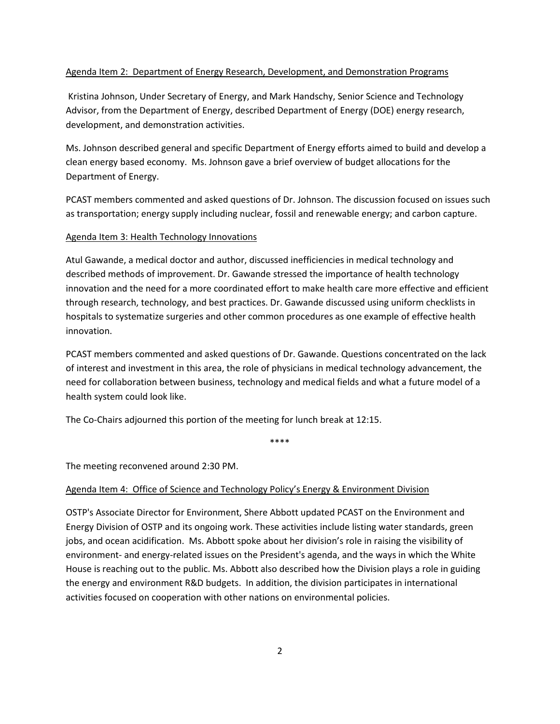#### Agenda Item 2: Department of Energy Research, Development, and Demonstration Programs

Kristina Johnson, Under Secretary of Energy, and Mark Handschy, Senior Science and Technology Advisor, from the Department of Energy, described Department of Energy (DOE) energy research, development, and demonstration activities.

Ms. Johnson described general and specific Department of Energy efforts aimed to build and develop a clean energy based economy. Ms. Johnson gave a brief overview of budget allocations for the Department of Energy.

PCAST members commented and asked questions of Dr. Johnson. The discussion focused on issues such as transportation; energy supply including nuclear, fossil and renewable energy; and carbon capture.

## Agenda Item 3: Health Technology Innovations

Atul Gawande, a medical doctor and author, discussed inefficiencies in medical technology and described methods of improvement. Dr. Gawande stressed the importance of health technology innovation and the need for a more coordinated effort to make health care more effective and efficient through research, technology, and best practices. Dr. Gawande discussed using uniform checklists in hospitals to systematize surgeries and other common procedures as one example of effective health innovation.

PCAST members commented and asked questions of Dr. Gawande. Questions concentrated on the lack of interest and investment in this area, the role of physicians in medical technology advancement, the need for collaboration between business, technology and medical fields and what a future model of a health system could look like.

The Co-Chairs adjourned this portion of the meeting for lunch break at 12:15.

\*\*\*\*

The meeting reconvened around 2:30 PM.

#### Agenda Item 4: Office of Science and Technology Policy's Energy & Environment Division

OSTP's Associate Director for Environment, Shere Abbott updated PCAST on the Environment and Energy Division of OSTP and its ongoing work. These activities include listing water standards, green jobs, and ocean acidification. Ms. Abbott spoke about her division's role in raising the visibility of environment- and energy-related issues on the President's agenda, and the ways in which the White House is reaching out to the public. Ms. Abbott also described how the Division plays a role in guiding the energy and environment R&D budgets. In addition, the division participates in international activities focused on cooperation with other nations on environmental policies.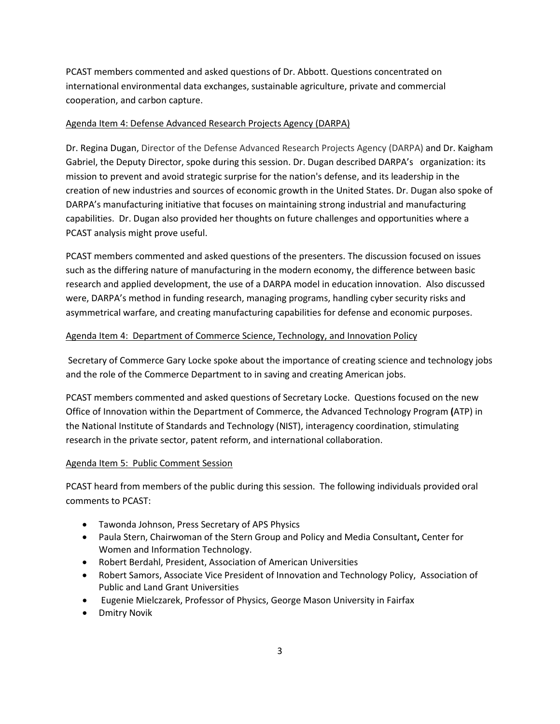PCAST members commented and asked questions of Dr. Abbott. Questions concentrated on international environmental data exchanges, sustainable agriculture, private and commercial cooperation, and carbon capture.

# Agenda Item 4: Defense Advanced Research Projects Agency (DARPA)

Dr. Regina Dugan, Director of the Defense Advanced Research Projects Agency (DARPA) and Dr. Kaigham Gabriel, the Deputy Director, spoke during this session. Dr. Dugan described DARPA's organization: its mission to prevent and avoid strategic surprise for the nation's defense, and its leadership in the creation of new industries and sources of economic growth in the United States. Dr. Dugan also spoke of DARPA's manufacturing initiative that focuses on maintaining strong industrial and manufacturing capabilities. Dr. Dugan also provided her thoughts on future challenges and opportunities where a PCAST analysis might prove useful.

PCAST members commented and asked questions of the presenters. The discussion focused on issues such as the differing nature of manufacturing in the modern economy, the difference between basic research and applied development, the use of a DARPA model in education innovation. Also discussed were, DARPA's method in funding research, managing programs, handling cyber security risks and asymmetrical warfare, and creating manufacturing capabilities for defense and economic purposes.

## Agenda Item 4: Department of Commerce Science, Technology, and Innovation Policy

Secretary of Commerce Gary Locke spoke about the importance of creating science and technology jobs and the role of the Commerce Department to in saving and creating American jobs.

PCAST members commented and asked questions of Secretary Locke. Questions focused on the new Office of Innovation within the Department of Commerce, the Advanced Technology Program **(**ATP) in the National Institute of Standards and Technology (NIST), interagency coordination, stimulating research in the private sector, patent reform, and international collaboration.

#### Agenda Item 5: Public Comment Session

PCAST heard from members of the public during this session. The following individuals provided oral comments to PCAST:

- Tawonda Johnson, Press Secretary of APS Physics
- Paula Stern, Chairwoman of the Stern Group and Policy and Media Consultant**,** Center for Women and Information Technology.
- Robert Berdahl, President, Association of American Universities
- Robert Samors, Associate Vice President of Innovation and Technology Policy, Association of Public and Land Grant Universities
- Eugenie Mielczarek, Professor of Physics, George Mason University in Fairfax
- Dmitry Novik